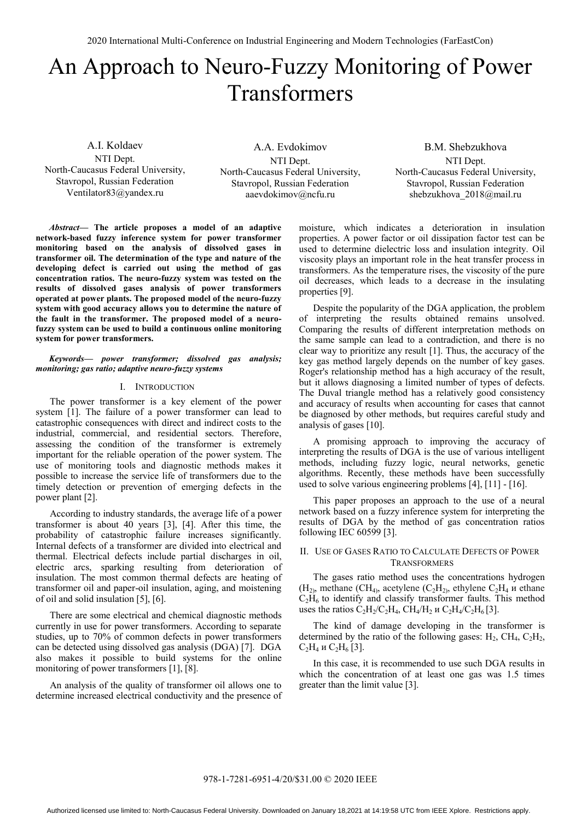# An Approach to Neuro-Fuzzy Monitoring of Power Transformers

A.I. Koldaev NTI Dept. North-Caucasus Federal University, Stavropol, Russian Federation Ventilator83@yandex.ru

A.A. Evdokimov NTI Dept. North-Caucasus Federal University, Stavropol, Russian Federation aaevdokimov@ncfu.ru

B.M. Shebzukhova NTI Dept. North-Caucasus Federal University, Stavropol, Russian Federation shebzukhova 2018@mail.ru

*Abstract***— The article proposes a model of an adaptive network-based fuzzy inference system for power transformer monitoring based on the analysis of dissolved gases in transformer oil. The determination of the type and nature of the developing defect is carried out using the method of gas concentration ratios. The neuro-fuzzy system was tested on the results of dissolved gases analysis of power transformers operated at power plants. The proposed model of the neuro-fuzzy system with good accuracy allows you to determine the nature of the fault in the transformer. The proposed model of a neurofuzzy system can be used to build a continuous online monitoring system for power transformers.** 

# *Keywords— power transformer; dissolved gas analysis; monitoring; gas ratio; adaptive neuro-fuzzy systems*

## I. INTRODUCTION

The power transformer is a key element of the power system [1]. The failure of a power transformer can lead to catastrophic consequences with direct and indirect costs to the industrial, commercial, and residential sectors. Therefore, assessing the condition of the transformer is extremely important for the reliable operation of the power system. The use of monitoring tools and diagnostic methods makes it possible to increase the service life of transformers due to the timely detection or prevention of emerging defects in the power plant [2].

According to industry standards, the average life of a power transformer is about 40 years [3], [4]. After this time, the probability of catastrophic failure increases significantly. Internal defects of a transformer are divided into electrical and thermal. Electrical defects include partial discharges in oil, electric arcs, sparking resulting from deterioration of insulation. The most common thermal defects are heating of transformer oil and paper-oil insulation, aging, and moistening of oil and solid insulation [5], [6].

There are some electrical and chemical diagnostic methods currently in use for power transformers. According to separate studies, up to 70% of common defects in power transformers can be detected using dissolved gas analysis (DGA) [7]. DGA also makes it possible to build systems for the online monitoring of power transformers [1], [8].

An analysis of the quality of transformer oil allows one to determine increased electrical conductivity and the presence of moisture, which indicates a deterioration in insulation properties. A power factor or oil dissipation factor test can be used to determine dielectric loss and insulation integrity. Oil viscosity plays an important role in the heat transfer process in transformers. As the temperature rises, the viscosity of the pure oil decreases, which leads to a decrease in the insulating properties [9].

Despite the popularity of the DGA application, the problem of interpreting the results obtained remains unsolved. Comparing the results of different interpretation methods on the same sample can lead to a contradiction, and there is no clear way to prioritize any result [1]. Thus, the accuracy of the key gas method largely depends on the number of key gases. Roger's relationship method has a high accuracy of the result, but it allows diagnosing a limited number of types of defects. The Duval triangle method has a relatively good consistency and accuracy of results when accounting for cases that cannot be diagnosed by other methods, but requires careful study and analysis of gases [10].

A promising approach to improving the accuracy of interpreting the results of DGA is the use of various intelligent methods, including fuzzy logic, neural networks, genetic algorithms. Recently, these methods have been successfully used to solve various engineering problems [4], [11] - [16].

This paper proposes an approach to the use of a neural network based on a fuzzy inference system for interpreting the results of DGA by the method of gas concentration ratios following IEC 60599 [3].

## II. USE OF GASES RATIO TO CALCULATE DEFECTS OF POWER **TRANSFORMERS**

The gases ratio method uses the concentrations hydrogen  $(H<sub>2</sub>)$ , methane (CH<sub>4)</sub>, acetylene (C<sub>2</sub>H<sub>2)</sub>, ethylene C<sub>2</sub>H<sub>4</sub> и ethane  $C_2H_6$  to identify and classify transformer faults. This method uses the ratios  $C_2H_2/C_2H_4$ , CH<sub>4</sub>/H<sub>2</sub> и C<sub>2</sub>H<sub>4</sub>/C<sub>2</sub>H<sub>6</sub>[3].

The kind of damage developing in the transformer is determined by the ratio of the following gases:  $H_2$ ,  $CH_4$ ,  $C_2H_2$ , С<sub>2</sub>Н<sub>4</sub> и С<sub>2</sub>Н<sub>6</sub> [3].

In this case, it is recommended to use such DGA results in which the concentration of at least one gas was 1.5 times greater than the limit value [3].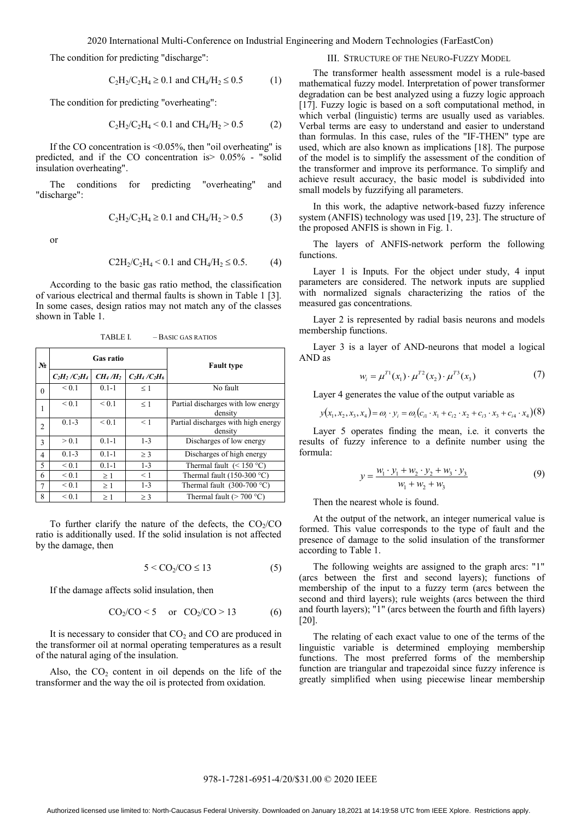The condition for predicting "discharge":

$$
C_2H_2/C_2H_4 \ge 0.1 \text{ and } CH_4/H_2 \le 0.5 \tag{1}
$$

The condition for predicting "overheating":

$$
C_2H_2/C_2H_4 < 0.1 \text{ and } CH_4/H_2 > 0.5 \tag{2}
$$

If the CO concentration is <0.05%, then "oil overheating" is predicted, and if the CO concentration is> 0.05% - "solid insulation overheating".

The conditions for predicting "overheating" and "discharge":

$$
C_2H_2/C_2H_4 \ge 0.1
$$
 and  $CH_4/H_2 > 0.5$  (3)

or

$$
C2H_2/C_2H_4 < 0.1 \text{ and } CH_4/H_2 \le 0.5. \tag{4}
$$

According to the basic gas ratio method, the classification of various electrical and thermal faults is shown in Table 1 [3]. In some cases, design ratios may not match any of the classes shown in Table 1.

| $N_2$          |                 | Gas ratio                       |                 | <b>Fault type</b>                              |  |  |
|----------------|-----------------|---------------------------------|-----------------|------------------------------------------------|--|--|
|                | $C_2H_2/C_2H_4$ | CH <sub>4</sub> /H <sub>2</sub> | $C_2H_4/C_2H_6$ |                                                |  |  |
| $\theta$       | ${}_{0.1}$      | $0.1 - 1$                       | $\leq$ 1        | No fault                                       |  |  |
| 1              | ${}_{0.1}$      | ${}_{0.1}$                      | $\leq$ 1        | Partial discharges with low energy<br>density  |  |  |
| $\overline{c}$ | $0.1 - 3$       | < 0.1                           | < 1             | Partial discharges with high energy<br>density |  |  |
| 3              | > 0.1           | $0.1 - 1$                       | $1 - 3$         | Discharges of low energy                       |  |  |
| 4              | $0.1 - 3$       | $0.1 - 1$                       | $>$ 3           | Discharges of high energy                      |  |  |
| 5              | < 0.1           | $0.1 - 1$                       | $1 - 3$         | Thermal fault $(< 150 °C)$                     |  |  |
| 6              | ${}_{0.1}$      | $\geq 1$                        | $\leq$ 1        | Thermal fault (150-300 $^{\circ}$ C)           |  |  |
| $\overline{7}$ | ${}_{0.1}$      | >1                              | $1 - 3$         | Thermal fault $(300-700 \degree C)$            |  |  |

TABLE I. – BASIC GAS RATIOS

To further clarify the nature of the defects, the  $CO<sub>2</sub>/CO$ ratio is additionally used. If the solid insulation is not affected by the damage, then

 $\leq 0.1$   $\geq 1$   $\geq 3$  Thermal fault (> 700 °C)

$$
5 < \text{CO}_2/\text{CO} \le 13 \tag{5}
$$

If the damage affects solid insulation, then

$$
CO_2/CO < 5 \quad \text{or} \quad CO_2/CO > 13 \tag{6}
$$

It is necessary to consider that  $CO<sub>2</sub>$  and  $CO$  are produced in the transformer oil at normal operating temperatures as a result of the natural aging of the insulation.

Also, the  $CO<sub>2</sub>$  content in oil depends on the life of the transformer and the way the oil is protected from oxidation.

# III. STRUCTURE OF THE NEURO-FUZZY MODEL

The transformer health assessment model is a rule-based mathematical fuzzy model. Interpretation of power transformer degradation can be best analyzed using a fuzzy logic approach [17]. Fuzzy logic is based on a soft computational method, in which verbal (linguistic) terms are usually used as variables. Verbal terms are easy to understand and easier to understand than formulas. In this case, rules of the "IF-THEN" type are used, which are also known as implications [18]. The purpose of the model is to simplify the assessment of the condition of the transformer and improve its performance. To simplify and achieve result accuracy, the basic model is subdivided into small models by fuzzifying all parameters.

In this work, the adaptive network-based fuzzy inference system (ANFIS) technology was used [19, 23]. The structure of the proposed ANFIS is shown in Fig. 1.

The layers of ANFIS-network perform the following functions.

Layer 1 is Inputs. For the object under study, 4 input parameters are considered. The network inputs are supplied with normalized signals characterizing the ratios of the measured gas concentrations.

Layer 2 is represented by radial basis neurons and models membership functions.

Layer 3 is a layer of AND-neurons that model a logical AND as

$$
w_i = \mu^{T1}(x_1) \cdot \mu^{T2}(x_2) \cdot \mu^{T3}(x_3)
$$
 (7)

Layer 4 generates the value of the output variable as

$$
y(x_1, x_2, x_3, x_4) = \omega_i \cdot y_i = \omega_i (c_{i1} \cdot x_1 + c_{i2} \cdot x_2 + c_{i3} \cdot x_3 + c_{i4} \cdot x_4)(8)
$$

Layer 5 operates finding the mean, i.e. it converts the results of fuzzy inference to a definite number using the formula:

$$
y = \frac{w_1 \cdot y_1 + w_2 \cdot y_2 + w_3 \cdot y_3}{w_1 + w_2 + w_3}
$$
 (9)

Then the nearest whole is found.

At the output of the network, an integer numerical value is formed. This value corresponds to the type of fault and the presence of damage to the solid insulation of the transformer according to Table 1.

The following weights are assigned to the graph arcs: "1" (arcs between the first and second layers); functions of membership of the input to a fuzzy term (arcs between the second and third layers); rule weights (arcs between the third and fourth layers); "1" (arcs between the fourth and fifth layers) [20].

The relating of each exact value to one of the terms of the linguistic variable is determined employing membership functions. The most preferred forms of the membership function are triangular and trapezoidal since fuzzy inference is greatly simplified when using piecewise linear membership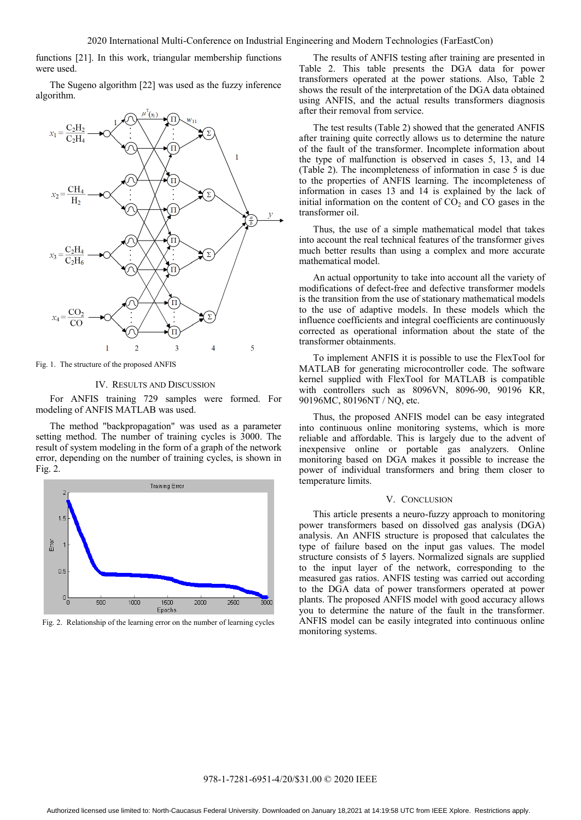functions [21]. In this work, triangular membership functions were used.

The Sugeno algorithm [22] was used as the fuzzy inference algorithm.



Fig. 1. The structure of the proposed ANFIS

### IV. RESULTS AND DISCUSSION

For ANFIS training 729 samples were formed. For modeling of ANFIS MATLAB was used.

The method "backpropagation" was used as a parameter setting method. The number of training cycles is 3000. The result of system modeling in the form of a graph of the network error, depending on the number of training cycles, is shown in Fig. 2.



Fig. 2. Relationship of the learning error on the number of learning cycles

The results of ANFIS testing after training are presented in Table 2. This table presents the DGA data for power transformers operated at the power stations. Also, Table 2 shows the result of the interpretation of the DGA data obtained using ANFIS, and the actual results transformers diagnosis after their removal from service.

The test results (Table 2) showed that the generated ANFIS after training quite correctly allows us to determine the nature of the fault of the transformer. Incomplete information about the type of malfunction is observed in cases 5, 13, and 14 (Table 2). The incompleteness of information in case 5 is due to the properties of ANFIS learning. The incompleteness of information in cases 13 and 14 is explained by the lack of initial information on the content of  $CO<sub>2</sub>$  and  $CO$  gases in the transformer oil.

Thus, the use of a simple mathematical model that takes into account the real technical features of the transformer gives much better results than using a complex and more accurate mathematical model.

An actual opportunity to take into account all the variety of modifications of defect-free and defective transformer models is the transition from the use of stationary mathematical models to the use of adaptive models. In these models which the influence coefficients and integral coefficients are continuously corrected as operational information about the state of the transformer obtainments.

To implement ANFIS it is possible to use the FlexTool for MATLAB for generating microcontroller code. The software kernel supplied with FlexTool for MATLAB is compatible with controllers such as 8096VN, 8096-90, 90196 KR, 90196MC, 80196NT / NQ, etc.

Thus, the proposed ANFIS model can be easy integrated into continuous online monitoring systems, which is more reliable and affordable. This is largely due to the advent of inexpensive online or portable gas analyzers. Online monitoring based on DGA makes it possible to increase the power of individual transformers and bring them closer to temperature limits.

## V. CONCLUSION

This article presents a neuro-fuzzy approach to monitoring power transformers based on dissolved gas analysis (DGA) analysis. An ANFIS structure is proposed that calculates the type of failure based on the input gas values. The model structure consists of 5 layers. Normalized signals are supplied to the input layer of the network, corresponding to the measured gas ratios. ANFIS testing was carried out according to the DGA data of power transformers operated at power plants. The proposed ANFIS model with good accuracy allows you to determine the nature of the fault in the transformer. ANFIS model can be easily integrated into continuous online monitoring systems.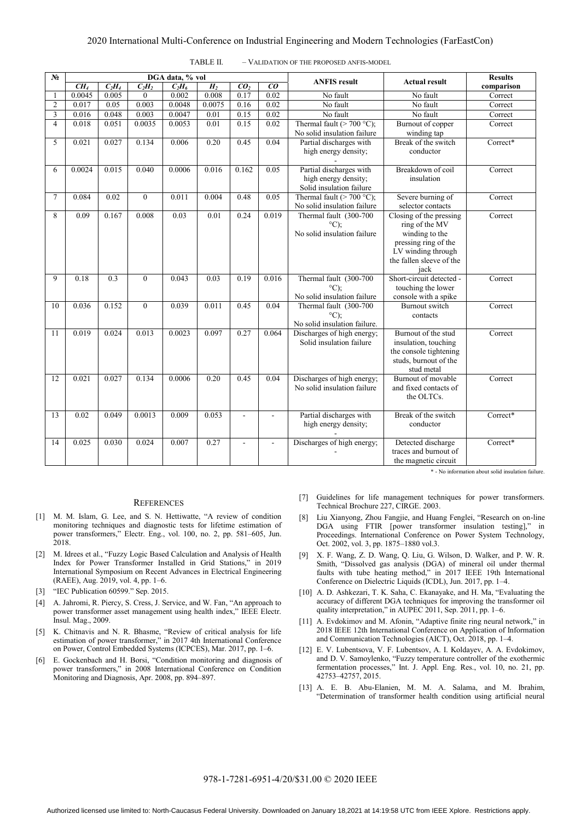## 2020 International Multi-Conference on Industrial Engineering and Modern Technologies (FarEastCon)

| $N_2$          |                 |                  |              | DGA data, % vol |                |                 |                | <b>ANFIS result</b>                                                         | <b>Actual result</b>                                                                                                                          | <b>Results</b> |
|----------------|-----------------|------------------|--------------|-----------------|----------------|-----------------|----------------|-----------------------------------------------------------------------------|-----------------------------------------------------------------------------------------------------------------------------------------------|----------------|
|                | CH <sub>4</sub> | $C_2H_4$         | $C_2H_2$     | $C_2H_6$        | H <sub>2</sub> | CO <sub>2</sub> | co             |                                                                             |                                                                                                                                               | comparison     |
| 1              | 0.0045          | 0.005            | $\mathbf{0}$ | 0.002           | 0.008          | 0.17            | 0.02           | No fault                                                                    | No fault                                                                                                                                      | Correct        |
| $\overline{2}$ | 0.017           | 0.05             | 0.003        | 0.0048          | 0.0075         | 0.16            | 0.02           | No fault                                                                    | No fault                                                                                                                                      | Correct        |
| 3              | 0.016           | 0.048            | 0.003        | 0.0047          | 0.01           | 0.15            | 0.02           | No fault                                                                    | No fault                                                                                                                                      | Correct        |
| $\overline{4}$ | 0.018           | 0.051            | 0.0035       | 0.0053          | 0.01           | 0.15            | 0.02           | Thermal fault ( $> 700 °C$ );<br>No solid insulation failure                | Burnout of copper<br>winding tap                                                                                                              | Correct        |
| 5              | 0.021           | 0.027            | 0.134        | 0.006           | 0.20           | 0.45            | 0.04           | Partial discharges with<br>high energy density;                             | Break of the switch<br>conductor                                                                                                              | Correct*       |
| 6              | 0.0024          | 0.015            | 0.040        | 0.0006          | 0.016          | 0.162           | 0.05           | Partial discharges with<br>high energy density;<br>Solid insulation failure | Breakdown of coil<br>insulation                                                                                                               | Correct        |
| $\tau$         | 0.084           | 0.02             | $\theta$     | 0.011           | 0.004          | 0.48            | 0.05           | Thermal fault ( $> 700 °C$ );<br>No solid insulation failure                | Severe burning of<br>selector contacts                                                                                                        | Correct        |
| 8              | 0.09            | 0.167            | 0.008        | 0.03            | 0.01           | 0.24            | 0.019          | Thermal fault (300-700<br>$^{\circ}$ C);<br>No solid insulation failure     | Closing of the pressing<br>ring of the MV<br>winding to the<br>pressing ring of the<br>LV winding through<br>the fallen sleeve of the<br>jack | Correct        |
| 9              | 0.18            | $\overline{0.3}$ | $\theta$     | 0.043           | 0.03           | 0.19            | 0.016          | Thermal fault (300-700<br>$^{\circ}$ C):<br>No solid insulation failure     | Short-circuit detected -<br>touching the lower<br>console with a spike                                                                        | Correct        |
| 10             | 0.036           | 0.152            | $\mathbf{0}$ | 0.039           | 0.011          | 0.45            | 0.04           | Thermal fault (300-700<br>$^{\circ}$ C);<br>No solid insulation failure.    | <b>Burnout</b> switch<br>contacts                                                                                                             | Correct        |
| 11             | 0.019           | 0.024            | 0.013        | 0.0023          | 0.097          | 0.27            | 0.064          | Discharges of high energy;<br>Solid insulation failure                      | Burnout of the stud<br>insulation, touching<br>the console tightening<br>studs, burnout of the<br>stud metal                                  | Correct        |
| 12             | 0.021           | 0.027            | 0.134        | 0.0006          | 0.20           | 0.45            | 0.04           | Discharges of high energy;<br>No solid insulation failure                   | Burnout of movable<br>and fixed contacts of<br>the OLTCs.                                                                                     | Correct        |
| 13             | 0.02            | 0.049            | 0.0013       | 0.009           | 0.053          | $\overline{a}$  |                | Partial discharges with<br>high energy density;                             | Break of the switch<br>conductor                                                                                                              | $Correct*$     |
| 14             | 0.025           | 0.030            | 0.024        | 0.007           | 0.27           | $\blacksquare$  | $\blacksquare$ | Discharges of high energy;                                                  | Detected discharge<br>traces and burnout of<br>the magnetic circuit                                                                           | Correct*       |

| TABLE II.<br>- VALIDATION OF THE PROPOSED ANFIS-MODEL |
|-------------------------------------------------------|
|-------------------------------------------------------|

#### **REFERENCES**

- [1] M. M. Islam, G. Lee, and S. N. Hettiwatte, "A review of condition monitoring techniques and diagnostic tests for lifetime estimation of power transformers," Electr. Eng., vol. 100, no. 2, pp. 581–605, Jun. 2018.
- [2] M. Idrees et al., "Fuzzy Logic Based Calculation and Analysis of Health Index for Power Transformer Installed in Grid Stations," in 2019 International Symposium on Recent Advances in Electrical Engineering (RAEE), Aug. 2019, vol. 4, pp. 1–6.
- [3] "IEC Publication 60599." Sep. 2015.
- [4] A. Jahromi, R. Piercy, S. Cress, J. Service, and W. Fan, "An approach to power transformer asset management using health index," IEEE Electr. Insul. Mag., 2009.
- [5] K. Chitnavis and N. R. Bhasme, "Review of critical analysis for life estimation of power transformer," in 2017 4th International Conference on Power, Control Embedded Systems (ICPCES), Mar. 2017, pp. 1–6.
- [6] E. Gockenbach and H. Borsi, "Condition monitoring and diagnosis of power transformers," in 2008 International Conference on Condition Monitoring and Diagnosis, Apr. 2008, pp. 894–897.

[7] Guidelines for life management techniques for power transformers. Technical Brochure 227, CIRGE. 2003.

\* - No information about solid insulation failure.

- [8] Liu Xianyong, Zhou Fangjie, and Huang Fenglei, "Research on on-line DGA using FTIR [power transformer insulation testing]," in Proceedings. International Conference on Power System Technology, Oct. 2002, vol. 3, pp. 1875–1880 vol.3.
- [9] X. F. Wang, Z. D. Wang, Q. Liu, G. Wilson, D. Walker, and P. W. R. Smith, "Dissolved gas analysis (DGA) of mineral oil under thermal faults with tube heating method," in 2017 IEEE 19th International Conference on Dielectric Liquids (ICDL), Jun. 2017, pp. 1–4.
- [10] A. D. Ashkezari, T. K. Saha, C. Ekanayake, and H. Ma, "Evaluating the accuracy of different DGA techniques for improving the transformer oil quality interpretation," in AUPEC 2011, Sep. 2011, pp. 1–6.
- [11] A. Evdokimov and M. Afonin, "Adaptive finite ring neural network," in 2018 IEEE 12th International Conference on Application of Information and Communication Technologies (AICT), Oct. 2018, pp. 1–4.
- [12] E. V. Lubentsova, V. F. Lubentsov, A. I. Koldayev, A. A. Evdokimov, and D. V. Samoylenko, "Fuzzy temperature controller of the exothermic fermentation processes," Int. J. Appl. Eng. Res., vol. 10, no. 21, pp. 42753–42757, 2015.
- [13] A. E. B. Abu-Elanien, M. M. A. Salama, and M. Ibrahim, "Determination of transformer health condition using artificial neural